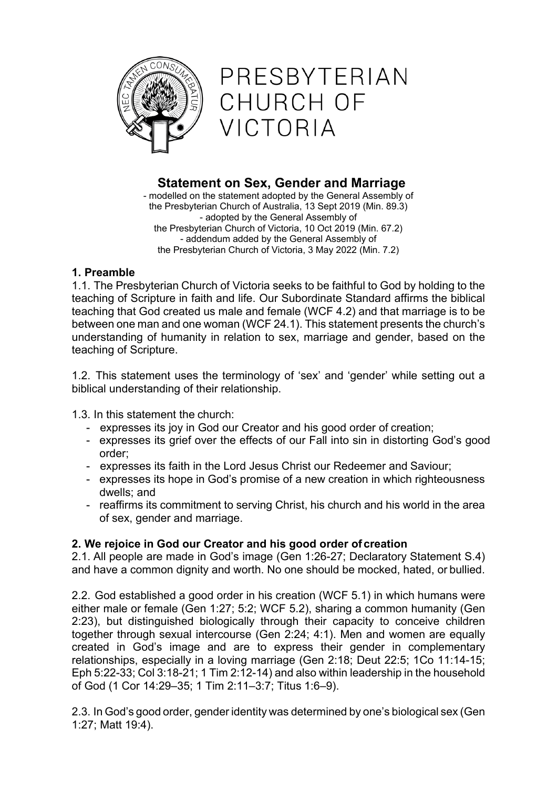

PRESBYTERIAN CHURCH OF VICTORIA

# **Statement on Sex, Gender and Marriage**

- modelled on the statement adopted by the General Assembly of the Presbyterian Church of Australia, 13 Sept 2019 (Min. 89.3) - adopted by the General Assembly of the Presbyterian Church of Victoria, 10 Oct 2019 (Min. 67.2) - addendum added by the General Assembly of the Presbyterian Church of Victoria, 3 May 2022 (Min. 7.2)

### **1. Preamble**

1.1. The Presbyterian Church of Victoria seeks to be faithful to God by holding to the teaching of Scripture in faith and life. Our Subordinate Standard affirms the biblical teaching that God created us male and female (WCF 4.2) and that marriage is to be between one man and one woman (WCF 24.1). This statement presents the church's understanding of humanity in relation to sex, marriage and gender, based on the teaching of Scripture.

1.2. This statement uses the terminology of 'sex' and 'gender' while setting out a biblical understanding of their relationship.

1.3. In this statement the church:

- expresses its joy in God our Creator and his good order of creation;
- expresses its grief over the effects of our Fall into sin in distorting God's good order;
- expresses its faith in the Lord Jesus Christ our Redeemer and Saviour;
- expresses its hope in God's promise of a new creation in which righteousness dwells; and
- reaffirms its commitment to serving Christ, his church and his world in the area of sex, gender and marriage.

# **2. We rejoice in God our Creator and his good order of creation**

2.1. All people are made in God's image (Gen 1:26-27; Declaratory Statement S.4) and have a common dignity and worth. No one should be mocked, hated, or bullied.

2.2. God established a good order in his creation (WCF 5.1) in which humans were either male or female (Gen 1:27; 5:2; WCF 5.2), sharing a common humanity (Gen 2:23), but distinguished biologically through their capacity to conceive children together through sexual intercourse (Gen 2:24; 4:1). Men and women are equally created in God's image and are to express their gender in complementary relationships, especially in a loving marriage (Gen 2:18; Deut 22:5; 1Co 11:14-15; Eph 5:22-33; Col 3:18-21; 1 Tim 2:12-14) and also within leadership in the household of God (1 Cor 14:29–35; 1 Tim 2:11–3:7; Titus 1:6–9).

2.3. In God's good order, gender identity was determined by one's biological sex (Gen 1:27; Matt 19:4).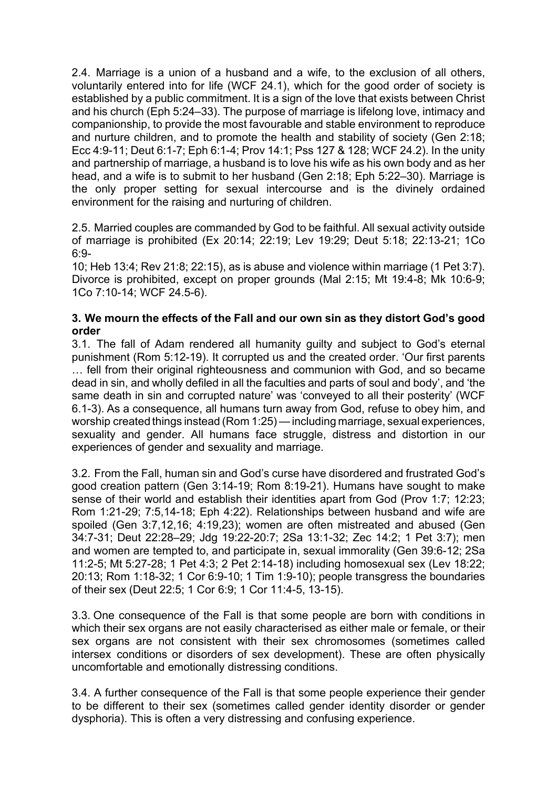2.4. Marriage is a union of a husband and a wife, to the exclusion of all others, voluntarily entered into for life (WCF 24.1), which for the good order of society is established by a public commitment. It is a sign of the love that exists between Christ and his church (Eph 5:24–33). The purpose of marriage is lifelong love, intimacy and companionship, to provide the most favourable and stable environment to reproduce and nurture children, and to promote the health and stability of society (Gen 2:18; Ecc 4:9-11; Deut 6:1-7; Eph 6:1-4; Prov 14:1; Pss 127 & 128; WCF 24.2). In the unity and partnership of marriage, a husband is to love his wife as his own body and as her head, and a wife is to submit to her husband (Gen 2:18; Eph 5:22–30). Marriage is the only proper setting for sexual intercourse and is the divinely ordained environment for the raising and nurturing of children.

2.5. Married couples are commanded by God to be faithful. All sexual activity outside of marriage is prohibited (Ex 20:14; 22:19; Lev 19:29; Deut 5:18; 22:13-21; 1Co 6:9-

10; Heb 13:4; Rev 21:8; 22:15), as is abuse and violence within marriage (1 Pet 3:7). Divorce is prohibited, except on proper grounds (Mal 2:15; Mt 19:4-8; Mk 10:6-9; 1Co 7:10-14; WCF 24.5-6).

### **3. We mourn the effects of the Fall and our own sin as they distort God's good order**

3.1. The fall of Adam rendered all humanity guilty and subject to God's eternal punishment (Rom 5:12-19). It corrupted us and the created order. 'Our first parents … fell from their original righteousness and communion with God, and so became dead in sin, and wholly defiled in all the faculties and parts of soul and body', and 'the same death in sin and corrupted nature' was 'conveyed to all their posterity' (WCF 6.1-3). As a consequence, all humans turn away from God, refuse to obey him, and worship created things instead (Rom 1:25)—including marriage, sexual experiences, sexuality and gender. All humans face struggle, distress and distortion in our experiences of gender and sexuality and marriage.

3.2. From the Fall, human sin and God's curse have disordered and frustrated God's good creation pattern (Gen 3:14-19; Rom 8:19-21). Humans have sought to make sense of their world and establish their identities apart from God (Prov 1:7; 12:23; Rom 1:21-29; 7:5,14-18; Eph 4:22). Relationships between husband and wife are spoiled (Gen 3:7,12,16; 4:19,23); women are often mistreated and abused (Gen 34:7-31; Deut 22:28–29; Jdg 19:22-20:7; 2Sa 13:1-32; Zec 14:2; 1 Pet 3:7); men and women are tempted to, and participate in, sexual immorality (Gen 39:6-12; 2Sa 11:2-5; Mt 5:27-28; 1 Pet 4:3; 2 Pet 2:14-18) including homosexual sex (Lev 18:22; 20:13; Rom 1:18-32; 1 Cor 6:9-10; 1 Tim 1:9-10); people transgress the boundaries of their sex (Deut 22:5; 1 Cor 6:9; 1 Cor 11:4-5, 13-15).

3.3. One consequence of the Fall is that some people are born with conditions in which their sex organs are not easily characterised as either male or female, or their sex organs are not consistent with their sex chromosomes (sometimes called intersex conditions or disorders of sex development). These are often physically uncomfortable and emotionally distressing conditions.

3.4. A further consequence of the Fall is that some people experience their gender to be different to their sex (sometimes called gender identity disorder or gender dysphoria). This is often a very distressing and confusing experience.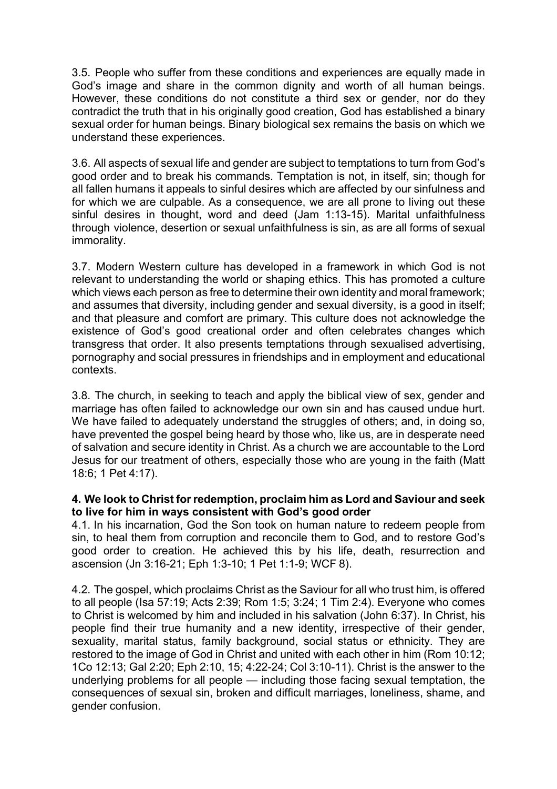3.5. People who suffer from these conditions and experiences are equally made in God's image and share in the common dignity and worth of all human beings. However, these conditions do not constitute a third sex or gender, nor do they contradict the truth that in his originally good creation, God has established a binary sexual order for human beings. Binary biological sex remains the basis on which we understand these experiences.

3.6. All aspects of sexual life and gender are subject to temptations to turn from God's good order and to break his commands. Temptation is not, in itself, sin; though for all fallen humans it appeals to sinful desires which are affected by our sinfulness and for which we are culpable. As a consequence, we are all prone to living out these sinful desires in thought, word and deed (Jam 1:13-15). Marital unfaithfulness through violence, desertion or sexual unfaithfulness is sin, as are all forms of sexual immorality.

3.7. Modern Western culture has developed in a framework in which God is not relevant to understanding the world or shaping ethics. This has promoted a culture which views each person as free to determine their own identity and moral framework; and assumes that diversity, including gender and sexual diversity, is a good in itself; and that pleasure and comfort are primary. This culture does not acknowledge the existence of God's good creational order and often celebrates changes which transgress that order. It also presents temptations through sexualised advertising, pornography and social pressures in friendships and in employment and educational contexts.

3.8. The church, in seeking to teach and apply the biblical view of sex, gender and marriage has often failed to acknowledge our own sin and has caused undue hurt. We have failed to adequately understand the struggles of others; and, in doing so, have prevented the gospel being heard by those who, like us, are in desperate need of salvation and secure identity in Christ. As a church we are accountable to the Lord Jesus for our treatment of others, especially those who are young in the faith (Matt 18:6; 1 Pet 4:17).

### **4. We look to Christ for redemption, proclaim him as Lord and Saviour and seek to live for him in ways consistent with God's good order**

4.1. In his incarnation, God the Son took on human nature to redeem people from sin, to heal them from corruption and reconcile them to God, and to restore God's good order to creation. He achieved this by his life, death, resurrection and ascension (Jn 3:16-21; Eph 1:3-10; 1 Pet 1:1-9; WCF 8).

4.2. The gospel, which proclaims Christ as the Saviour for all who trust him, is offered to all people (Isa 57:19; Acts 2:39; Rom 1:5; 3:24; 1 Tim 2:4). Everyone who comes to Christ is welcomed by him and included in his salvation (John 6:37). In Christ, his people find their true humanity and a new identity, irrespective of their gender, sexuality, marital status, family background, social status or ethnicity. They are restored to the image of God in Christ and united with each other in him (Rom 10:12; 1Co 12:13; Gal 2:20; Eph 2:10, 15; 4:22-24; Col 3:10-11). Christ is the answer to the underlying problems for all people — including those facing sexual temptation, the consequences of sexual sin, broken and difficult marriages, loneliness, shame, and gender confusion.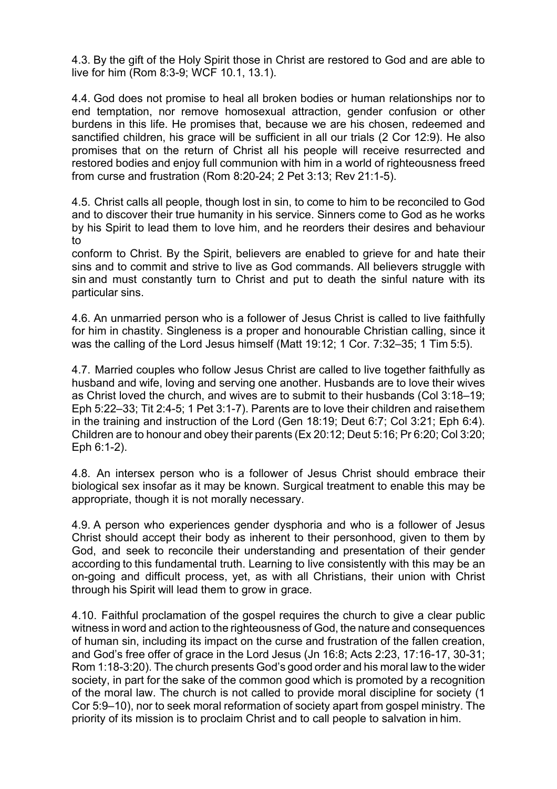4.3. By the gift of the Holy Spirit those in Christ are restored to God and are able to live for him (Rom 8:3-9; WCF 10.1, 13.1).

4.4. God does not promise to heal all broken bodies or human relationships nor to end temptation, nor remove homosexual attraction, gender confusion or other burdens in this life. He promises that, because we are his chosen, redeemed and sanctified children, his grace will be sufficient in all our trials (2 Cor 12:9). He also promises that on the return of Christ all his people will receive resurrected and restored bodies and enjoy full communion with him in a world of righteousness freed from curse and frustration (Rom 8:20-24; 2 Pet 3:13; Rev 21:1-5).

4.5. Christ calls all people, though lost in sin, to come to him to be reconciled to God and to discover their true humanity in his service. Sinners come to God as he works by his Spirit to lead them to love him, and he reorders their desires and behaviour to

conform to Christ. By the Spirit, believers are enabled to grieve for and hate their sins and to commit and strive to live as God commands. All believers struggle with sin and must constantly turn to Christ and put to death the sinful nature with its particular sins.

4.6. An unmarried person who is a follower of Jesus Christ is called to live faithfully for him in chastity. Singleness is a proper and honourable Christian calling, since it was the calling of the Lord Jesus himself (Matt 19:12; 1 Cor. 7:32–35; 1 Tim 5:5).

4.7. Married couples who follow Jesus Christ are called to live together faithfully as husband and wife, loving and serving one another. Husbands are to love their wives as Christ loved the church, and wives are to submit to their husbands (Col 3:18–19; Eph 5:22–33; Tit 2:4-5; 1 Pet 3:1-7). Parents are to love their children and raisethem in the training and instruction of the Lord (Gen 18:19; Deut 6:7; Col 3:21; Eph 6:4). Children are to honour and obey their parents (Ex 20:12; Deut 5:16; Pr 6:20; Col 3:20; Eph 6:1-2).

4.8. An intersex person who is a follower of Jesus Christ should embrace their biological sex insofar as it may be known. Surgical treatment to enable this may be appropriate, though it is not morally necessary.

4.9. A person who experiences gender dysphoria and who is a follower of Jesus Christ should accept their body as inherent to their personhood, given to them by God, and seek to reconcile their understanding and presentation of their gender according to this fundamental truth. Learning to live consistently with this may be an on-going and difficult process, yet, as with all Christians, their union with Christ through his Spirit will lead them to grow in grace.

4.10. Faithful proclamation of the gospel requires the church to give a clear public witness in word and action to the righteousness of God, the nature and consequences of human sin, including its impact on the curse and frustration of the fallen creation, and God's free offer of grace in the Lord Jesus (Jn 16:8; Acts 2:23, 17:16-17, 30-31; Rom 1:18-3:20). The church presents God's good order and his moral law to the wider society, in part for the sake of the common good which is promoted by a recognition of the moral law. The church is not called to provide moral discipline for society (1 Cor 5:9–10), nor to seek moral reformation of society apart from gospel ministry. The priority of its mission is to proclaim Christ and to call people to salvation in him.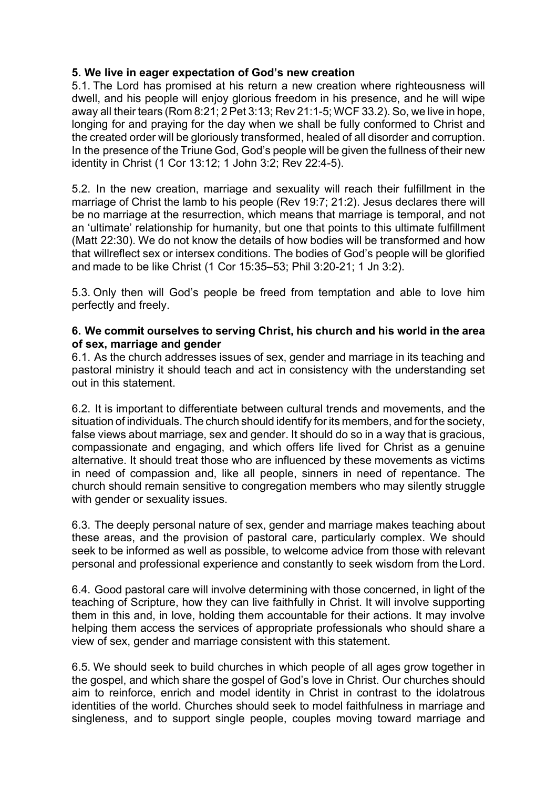### **5. We live in eager expectation of God's new creation**

5.1. The Lord has promised at his return a new creation where righteousness will dwell, and his people will enjoy glorious freedom in his presence, and he will wipe away all their tears (Rom 8:21; 2 Pet 3:13; Rev 21:1-5; WCF 33.2). So, we live in hope, longing for and praying for the day when we shall be fully conformed to Christ and the created order will be gloriously transformed, healed of all disorder and corruption. In the presence of the Triune God, God's people will be given the fullness of their new identity in Christ (1 Cor 13:12; 1 John 3:2; Rev 22:4-5).

5.2. In the new creation, marriage and sexuality will reach their fulfillment in the marriage of Christ the lamb to his people (Rev 19:7; 21:2). Jesus declares there will be no marriage at the resurrection, which means that marriage is temporal, and not an 'ultimate' relationship for humanity, but one that points to this ultimate fulfillment (Matt 22:30). We do not know the details of how bodies will be transformed and how that willreflect sex or intersex conditions. The bodies of God's people will be glorified and made to be like Christ (1 Cor 15:35–53; Phil 3:20-21; 1 Jn 3:2).

5.3. Only then will God's people be freed from temptation and able to love him perfectly and freely.

#### **6. We commit ourselves to serving Christ, his church and his world in the area of sex, marriage and gender**

6.1. As the church addresses issues of sex, gender and marriage in its teaching and pastoral ministry it should teach and act in consistency with the understanding set out in this statement.

6.2. It is important to differentiate between cultural trends and movements, and the situation of individuals. The church should identify for its members, and for the society, false views about marriage, sex and gender. It should do so in a way that is gracious, compassionate and engaging, and which offers life lived for Christ as a genuine alternative. It should treat those who are influenced by these movements as victims in need of compassion and, like all people, sinners in need of repentance. The church should remain sensitive to congregation members who may silently struggle with gender or sexuality issues.

6.3. The deeply personal nature of sex, gender and marriage makes teaching about these areas, and the provision of pastoral care, particularly complex. We should seek to be informed as well as possible, to welcome advice from those with relevant personal and professional experience and constantly to seek wisdom from the Lord.

6.4. Good pastoral care will involve determining with those concerned, in light of the teaching of Scripture, how they can live faithfully in Christ. It will involve supporting them in this and, in love, holding them accountable for their actions. It may involve helping them access the services of appropriate professionals who should share a view of sex, gender and marriage consistent with this statement.

6.5. We should seek to build churches in which people of all ages grow together in the gospel, and which share the gospel of God's love in Christ. Our churches should aim to reinforce, enrich and model identity in Christ in contrast to the idolatrous identities of the world. Churches should seek to model faithfulness in marriage and singleness, and to support single people, couples moving toward marriage and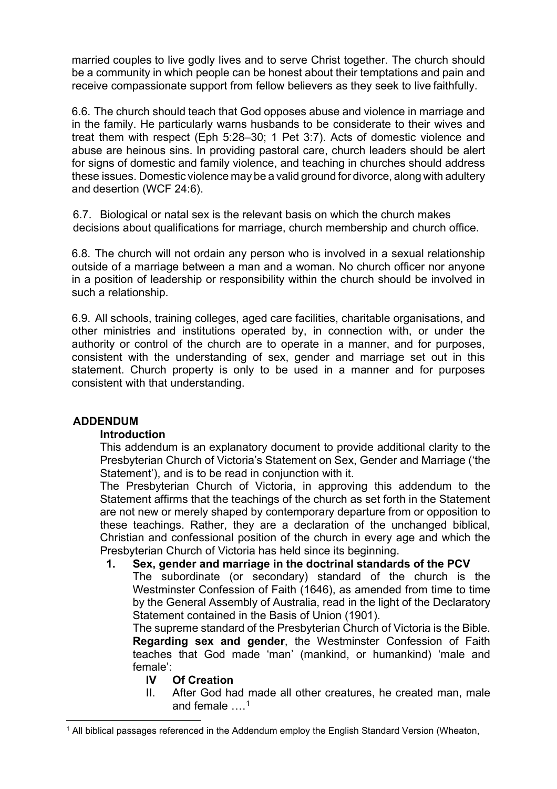married couples to live godly lives and to serve Christ together. The church should be a community in which people can be honest about their temptations and pain and receive compassionate support from fellow believers as they seek to live faithfully.

6.6. The church should teach that God opposes abuse and violence in marriage and in the family. He particularly warns husbands to be considerate to their wives and treat them with respect (Eph 5:28–30; 1 Pet 3:7). Acts of domestic violence and abuse are heinous sins. In providing pastoral care, church leaders should be alert for signs of domestic and family violence, and teaching in churches should address these issues. Domestic violence may be a valid ground for divorce, along with adultery and desertion (WCF 24:6).

6.7. Biological or natal sex is the relevant basis on which the church makes decisions about qualifications for marriage, church membership and church office.

6.8. The church will not ordain any person who is involved in a sexual relationship outside of a marriage between a man and a woman. No church officer nor anyone in a position of leadership or responsibility within the church should be involved in such a relationship.

6.9. All schools, training colleges, aged care facilities, charitable organisations, and other ministries and institutions operated by, in connection with, or under the authority or control of the church are to operate in a manner, and for purposes, consistent with the understanding of sex, gender and marriage set out in this statement. Church property is only to be used in a manner and for purposes consistent with that understanding.

# **ADDENDUM**

### **Introduction**

This addendum is an explanatory document to provide additional clarity to the Presbyterian Church of Victoria's Statement on Sex, Gender and Marriage ('the Statement'), and is to be read in conjunction with it.

The Presbyterian Church of Victoria, in approving this addendum to the Statement affirms that the teachings of the church as set forth in the Statement are not new or merely shaped by contemporary departure from or opposition to these teachings. Rather, they are a declaration of the unchanged biblical, Christian and confessional position of the church in every age and which the Presbyterian Church of Victoria has held since its beginning.

### **1. Sex, gender and marriage in the doctrinal standards of the PCV**

The subordinate (or secondary) standard of the church is the Westminster Confession of Faith (1646), as amended from time to time by the General Assembly of Australia, read in the light of the Declaratory Statement contained in the Basis of Union (1901).

The supreme standard of the Presbyterian Church of Victoria is the Bible. **Regarding sex and gender**, the Westminster Confession of Faith teaches that God made 'man' (mankind, or humankind) 'male and female':

### **IV Of Creation**

II. After God had made all other creatures, he created man, male and female  $\ldots$ <sup>[1](#page-5-0)</sup>

<span id="page-5-0"></span><sup>&</sup>lt;sup>1</sup> All biblical passages referenced in the Addendum employ the English Standard Version (Wheaton,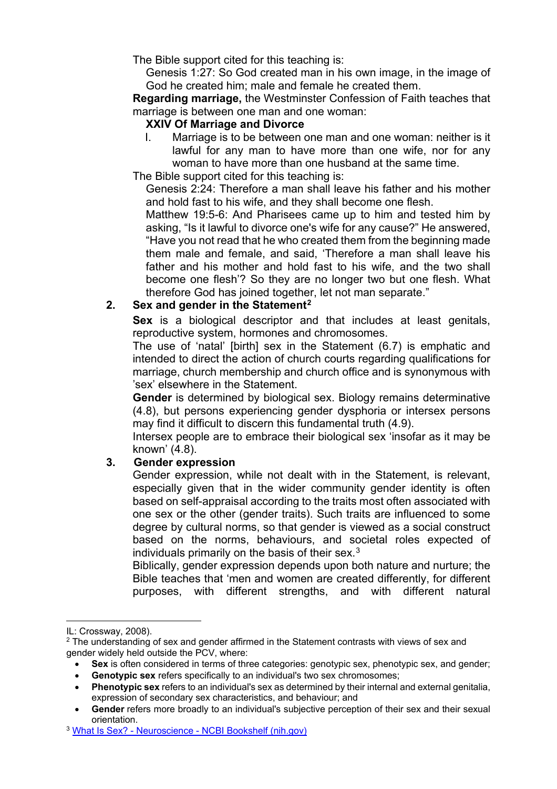The Bible support cited for this teaching is:

Genesis 1:27: So God created man in his own image, in the image of God he created him; male and female he created them.

**Regarding marriage,** the Westminster Confession of Faith teaches that marriage is between one man and one woman:

#### **XXIV Of Marriage and Divorce**

I. Marriage is to be between one man and one woman: neither is it lawful for any man to have more than one wife, nor for any woman to have more than one husband at the same time.

The Bible support cited for this teaching is:

Genesis 2:24: Therefore a man shall leave his father and his mother and hold fast to his wife, and they shall become one flesh.

Matthew 19:5-6: And Pharisees came up to him and tested him by asking, "Is it lawful to divorce one's wife for any cause?" He answered, "Have you not read that he who created them from the beginning made them male and female, and said, 'Therefore a man shall leave his father and his mother and hold fast to his wife, and the two shall become one flesh'? So they are no longer two but one flesh. What therefore God has joined together, let not man separate."

### **2. Sex and gender in the Statement[2](#page-6-0)**

**Sex** is a biological descriptor and that includes at least genitals, reproductive system, hormones and chromosomes.

The use of 'natal' [birth] sex in the Statement (6.7) is emphatic and intended to direct the action of church courts regarding qualifications for marriage, church membership and church office and is synonymous with 'sex' elsewhere in the Statement.

**Gender** is determined by biological sex. Biology remains determinative (4.8), but persons experiencing gender dysphoria or intersex persons may find it difficult to discern this fundamental truth (4.9).

Intersex people are to embrace their biological sex 'insofar as it may be known' (4.8).

### **3. Gender expression**

Gender expression, while not dealt with in the Statement, is relevant, especially given that in the wider community gender identity is often based on self-appraisal according to the traits most often associated with one sex or the other (gender traits). Such traits are influenced to some degree by cultural norms, so that gender is viewed as a social construct based on the norms, behaviours, and societal roles expected of individuals primarily on the basis of their sex. $3$ 

Biblically, gender expression depends upon both nature and nurture; the Bible teaches that 'men and women are created differently, for different purposes, with different strengths, and with different natural

IL: Crossway, 2008).

<span id="page-6-0"></span> $2$  The understanding of sex and gender affirmed in the Statement contrasts with views of sex and gender widely held outside the PCV, where:

<sup>•</sup> **Sex** is often considered in terms of three categories: genotypic sex, phenotypic sex, and gender;

**Genotypic sex** refers specifically to an individual's two sex chromosomes;

<sup>•</sup> **Phenotypic sex** refers to an individual's sex as determined by their internal and external genitalia, expression of secondary sex characteristics, and behaviour; and

Gender refers more broadly to an individual's subjective perception of their sex and their sexual orientation.

<span id="page-6-1"></span><sup>3</sup> What Is Sex? - Neuroscience - [NCBI Bookshelf \(nih.gov\)](https://www.ncbi.nlm.nih.gov/books/NBK10943/)